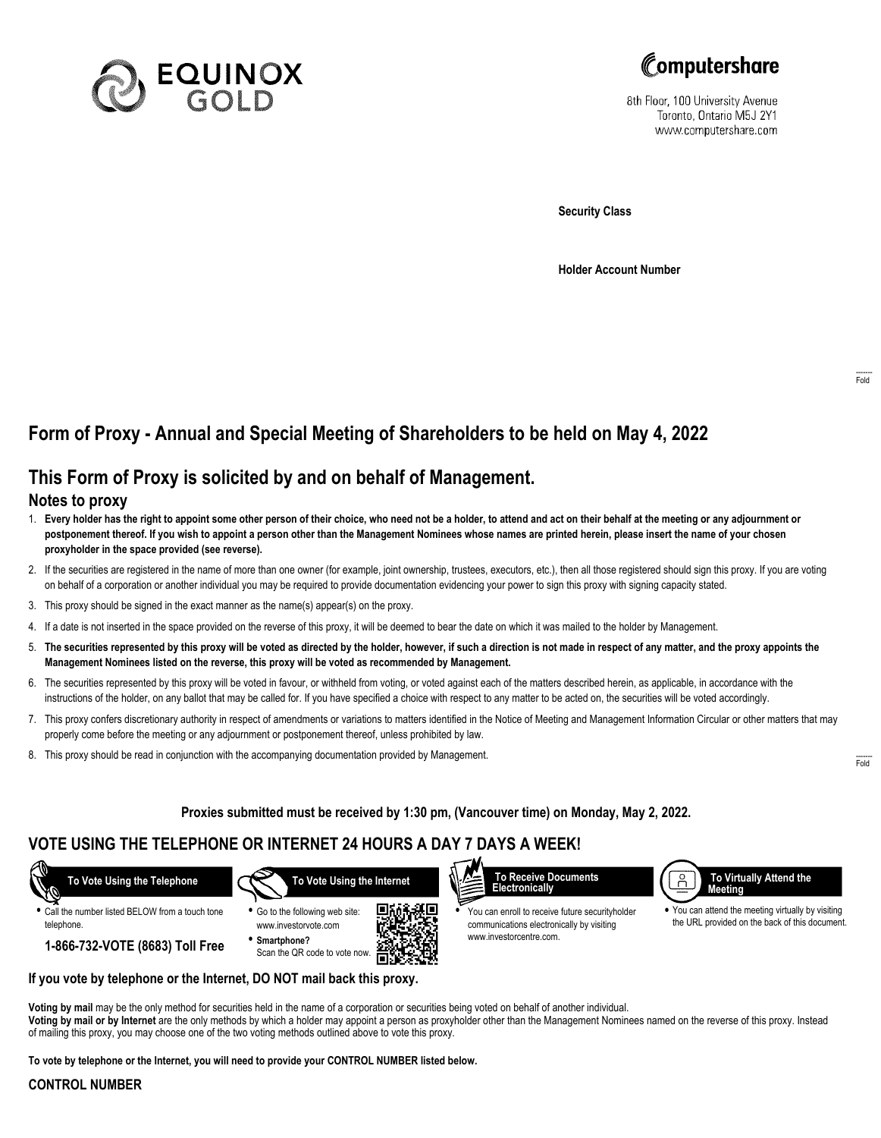



8th Floor, 100 University Avenue Toronto, Ontario M5J 2Y1 www.computershare.com

**Security Class**

**Holder Account Number**

# **Form of Proxy - Annual and Special Meeting of Shareholders to be held on May 4, 2022**

# **This Form of Proxy is solicited by and on behalf of Management.**

### **Notes to proxy**

- 1. **Every holder has the right to appoint some other person of their choice, who need not be a holder, to attend and act on their behalf at the meeting or any adjournment or postponement thereof. If you wish to appoint a person other than the Management Nominees whose names are printed herein, please insert the name of your chosen proxyholder in the space provided (see reverse).**
- 2. If the securities are registered in the name of more than one owner (for example, joint ownership, trustees, executors, etc.), then all those registered should sign this proxy. If you are voting on behalf of a corporation or another individual you may be required to provide documentation evidencing your power to sign this proxy with signing capacity stated.
- 3. This proxy should be signed in the exact manner as the name(s) appear(s) on the proxy.
- 4. If a date is not inserted in the space provided on the reverse of this proxy, it will be deemed to bear the date on which it was mailed to the holder by Management.
- 5. **The securities represented by this proxy will be voted as directed by the holder, however, if such a direction is not made in respect of any matter, and the proxy appoints the Management Nominees listed on the reverse, this proxy will be voted as recommended by Management.**
- 6. The securities represented by this proxy will be voted in favour, or withheld from voting, or voted against each of the matters described herein, as applicable, in accordance with the instructions of the holder, on any ballot that may be called for. If you have specified a choice with respect to any matter to be acted on, the securities will be voted accordingly.
- 7. This proxy confers discretionary authority in respect of amendments or variations to matters identified in the Notice of Meeting and Management Information Circular or other matters that may properly come before the meeting or any adjournment or postponement thereof, unless prohibited by law.
- 8. This proxy should be read in conjunction with the accompanying documentation provided by Management.

**Proxies submitted must be received by 1:30 pm, (Vancouver time) on Monday, May 2, 2022.**

## **VOTE USING THE TELEPHONE OR INTERNET 24 HOURS A DAY 7 DAYS A WEEK!**



**•** Call the number listed BELOW from a touch tone telephone.

**1-866-732-VOTE (8683) Toll Free**

 **To Vote Using the Internet**







**•** You can enroll to receive future securityholder communications electronically by visiting www.investorcentre.com.



**•** You can attend the meeting virtually by visiting the URL provided on the back of this document.

**If you vote by telephone or the Internet, DO NOT mail back this proxy.**

**Voting by mail** may be the only method for securities held in the name of a corporation or securities being voted on behalf of another individual. **Voting by mail or by Internet** are the only methods by which a holder may appoint a person as proxyholder other than the Management Nominees named on the reverse of this proxy. Instead of mailing this proxy, you may choose one of the two voting methods outlined above to vote this proxy.

**To vote by telephone or the Internet, you will need to provide your CONTROL NUMBER listed below.**

#### **CONTROL NUMBER**